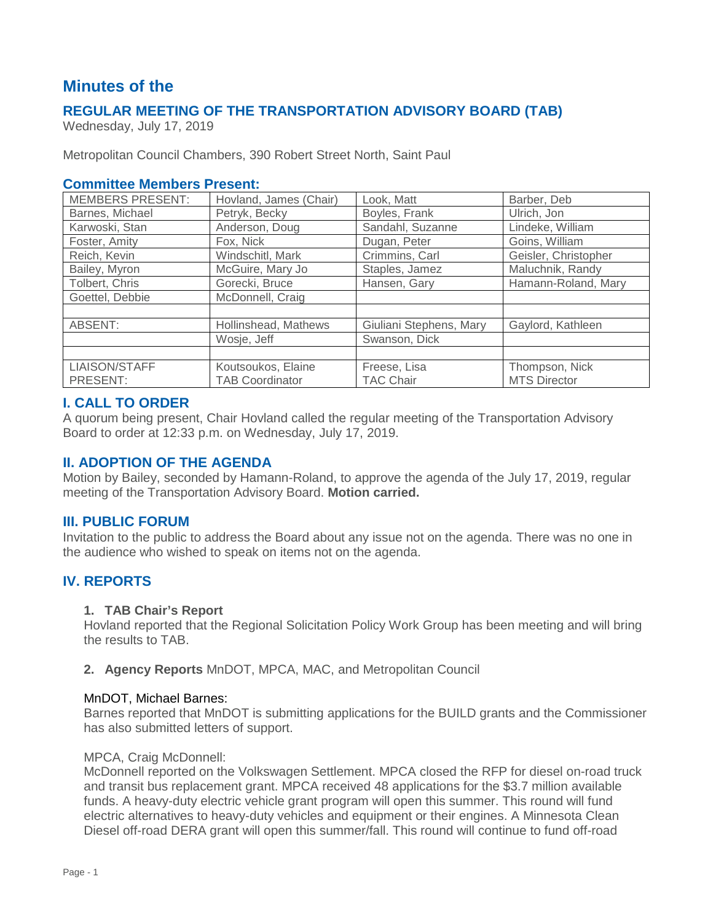# **Minutes of the**

# **REGULAR MEETING OF THE TRANSPORTATION ADVISORY BOARD (TAB)**

Wednesday, July 17, 2019

Metropolitan Council Chambers, 390 Robert Street North, Saint Paul

# **Committee Members Present:**

| <b>MEMBERS PRESENT:</b> | Hovland, James (Chair) | Look, Matt              | Barber, Deb          |
|-------------------------|------------------------|-------------------------|----------------------|
| Barnes, Michael         | Petryk, Becky          | Boyles, Frank           | Ulrich, Jon          |
| Karwoski, Stan          | Anderson, Doug         | Sandahl, Suzanne        | Lindeke, William     |
| Foster, Amity           | Fox, Nick              | Dugan, Peter            | Goins, William       |
| Reich, Kevin            | Windschitl, Mark       | Crimmins, Carl          | Geisler, Christopher |
| Bailey, Myron           | McGuire, Mary Jo       | Staples, Jamez          | Maluchnik, Randy     |
| Tolbert, Chris          | Gorecki, Bruce         | Hansen, Gary            | Hamann-Roland, Mary  |
| Goettel, Debbie         | McDonnell, Craig       |                         |                      |
|                         |                        |                         |                      |
| ABSENT:                 | Hollinshead, Mathews   | Giuliani Stephens, Mary | Gaylord, Kathleen    |
|                         | Wosje, Jeff            | Swanson, Dick           |                      |
|                         |                        |                         |                      |
| LIAISON/STAFF           | Koutsoukos, Elaine     | Freese, Lisa            | Thompson, Nick       |
| PRESENT:                | <b>TAB Coordinator</b> | <b>TAC Chair</b>        | <b>MTS Director</b>  |

# **I. CALL TO ORDER**

A quorum being present, Chair Hovland called the regular meeting of the Transportation Advisory Board to order at 12:33 p.m. on Wednesday, July 17, 2019.

# **II. ADOPTION OF THE AGENDA**

Motion by Bailey, seconded by Hamann-Roland, to approve the agenda of the July 17, 2019, regular meeting of the Transportation Advisory Board. **Motion carried.**

# **III. PUBLIC FORUM**

Invitation to the public to address the Board about any issue not on the agenda. There was no one in the audience who wished to speak on items not on the agenda.

# **IV. REPORTS**

# **1. TAB Chair's Report**

Hovland reported that the Regional Solicitation Policy Work Group has been meeting and will bring the results to TAB.

#### **2. Agency Reports** MnDOT, MPCA, MAC, and Metropolitan Council

#### MnDOT, Michael Barnes:

Barnes reported that MnDOT is submitting applications for the BUILD grants and the Commissioner has also submitted letters of support.

#### MPCA, Craig McDonnell:

McDonnell reported on the Volkswagen Settlement. MPCA closed the RFP for diesel on-road truck and transit bus replacement grant. MPCA received 48 applications for the \$3.7 million available funds. A heavy-duty electric vehicle grant program will open this summer. This round will fund electric alternatives to heavy-duty vehicles and equipment or their engines. A Minnesota Clean Diesel off-road DERA grant will open this summer/fall. This round will continue to fund off-road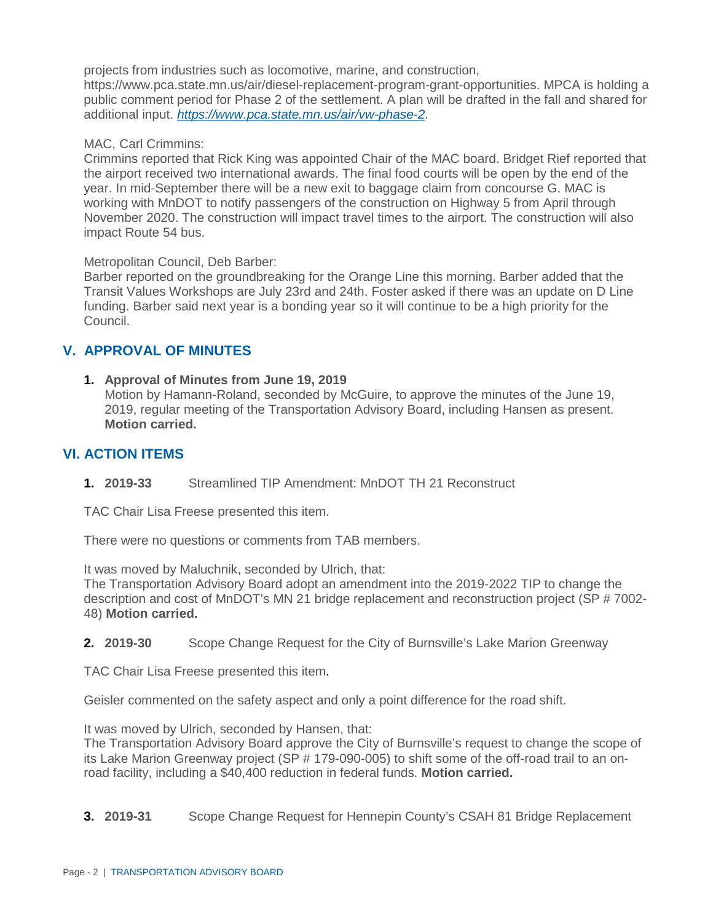projects from industries such as locomotive, marine, and construction,

https://www.pca.state.mn.us/air/diesel-replacement-program-grant-opportunities. MPCA is holding a public comment period for Phase 2 of the settlement. A plan will be drafted in the fall and shared for additional input. *<https://www.pca.state.mn.us/air/vw-phase-2>*.

### MAC, Carl Crimmins:

Crimmins reported that Rick King was appointed Chair of the MAC board. Bridget Rief reported that the airport received two international awards. The final food courts will be open by the end of the year. In mid-September there will be a new exit to baggage claim from concourse G. MAC is working with MnDOT to notify passengers of the construction on Highway 5 from April through November 2020. The construction will impact travel times to the airport. The construction will also impact Route 54 bus.

Metropolitan Council, Deb Barber:

Barber reported on the groundbreaking for the Orange Line this morning. Barber added that the Transit Values Workshops are July 23rd and 24th. Foster asked if there was an update on D Line funding. Barber said next year is a bonding year so it will continue to be a high priority for the Council.

# **V. APPROVAL OF MINUTES**

**1. Approval of Minutes from June 19, 2019** Motion by Hamann-Roland, seconded by McGuire, to approve the minutes of the June 19, 2019, regular meeting of the Transportation Advisory Board, including Hansen as present. **Motion carried.**

# **VI. ACTION ITEMS**

**1. 2019-33** Streamlined TIP Amendment: MnDOT TH 21 Reconstruct

TAC Chair Lisa Freese presented this item.

There were no questions or comments from TAB members.

It was moved by Maluchnik, seconded by Ulrich, that:

The Transportation Advisory Board adopt an amendment into the 2019-2022 TIP to change the description and cost of MnDOT's MN 21 bridge replacement and reconstruction project (SP # 7002- 48) **Motion carried.**

**2. 2019-30** Scope Change Request for the City of Burnsville's Lake Marion Greenway

TAC Chair Lisa Freese presented this item.

Geisler commented on the safety aspect and only a point difference for the road shift.

It was moved by Ulrich, seconded by Hansen, that:

The Transportation Advisory Board approve the City of Burnsville's request to change the scope of its Lake Marion Greenway project (SP # 179-090-005) to shift some of the off-road trail to an onroad facility, including a \$40,400 reduction in federal funds. **Motion carried.**

**3. 2019-31** Scope Change Request for Hennepin County's CSAH 81 Bridge Replacement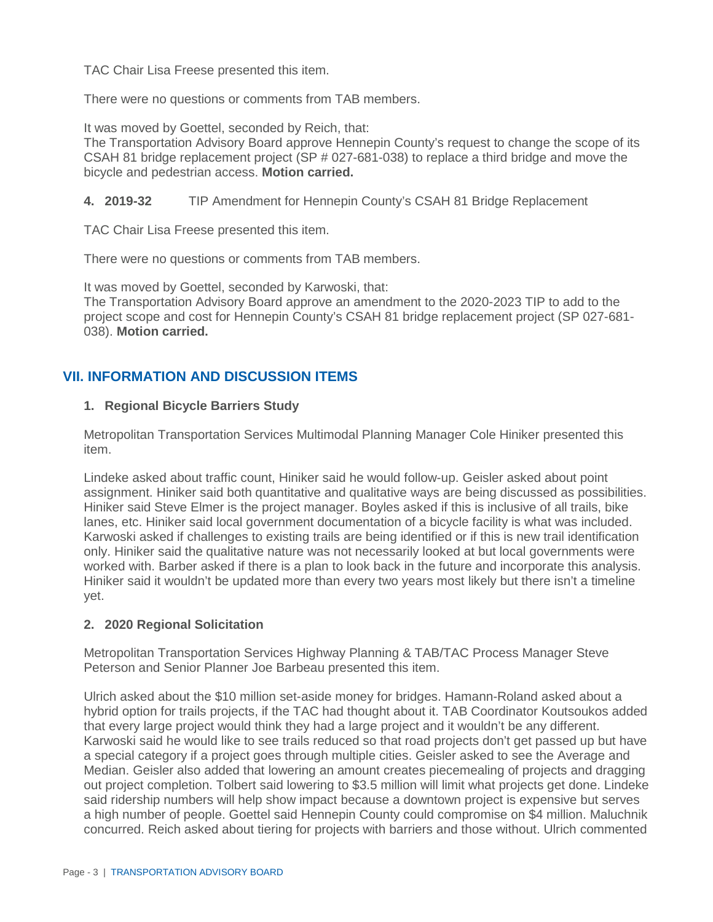TAC Chair Lisa Freese presented this item.

There were no questions or comments from TAB members.

It was moved by Goettel, seconded by Reich, that:

The Transportation Advisory Board approve Hennepin County's request to change the scope of its CSAH 81 bridge replacement project (SP # 027-681-038) to replace a third bridge and move the bicycle and pedestrian access. **Motion carried.**

# **4. 2019-32** TIP Amendment for Hennepin County's CSAH 81 Bridge Replacement

TAC Chair Lisa Freese presented this item.

There were no questions or comments from TAB members.

It was moved by Goettel, seconded by Karwoski, that:

The Transportation Advisory Board approve an amendment to the 2020-2023 TIP to add to the project scope and cost for Hennepin County's CSAH 81 bridge replacement project (SP 027-681- 038). **Motion carried.**

# **VII. INFORMATION AND DISCUSSION ITEMS**

# **1. Regional Bicycle Barriers Study**

Metropolitan Transportation Services Multimodal Planning Manager Cole Hiniker presented this item.

Lindeke asked about traffic count, Hiniker said he would follow-up. Geisler asked about point assignment. Hiniker said both quantitative and qualitative ways are being discussed as possibilities. Hiniker said Steve Elmer is the project manager. Boyles asked if this is inclusive of all trails, bike lanes, etc. Hiniker said local government documentation of a bicycle facility is what was included. Karwoski asked if challenges to existing trails are being identified or if this is new trail identification only. Hiniker said the qualitative nature was not necessarily looked at but local governments were worked with. Barber asked if there is a plan to look back in the future and incorporate this analysis. Hiniker said it wouldn't be updated more than every two years most likely but there isn't a timeline yet.

# **2. 2020 Regional Solicitation**

Metropolitan Transportation Services Highway Planning & TAB/TAC Process Manager Steve Peterson and Senior Planner Joe Barbeau presented this item.

Ulrich asked about the \$10 million set-aside money for bridges. Hamann-Roland asked about a hybrid option for trails projects, if the TAC had thought about it. TAB Coordinator Koutsoukos added that every large project would think they had a large project and it wouldn't be any different. Karwoski said he would like to see trails reduced so that road projects don't get passed up but have a special category if a project goes through multiple cities. Geisler asked to see the Average and Median. Geisler also added that lowering an amount creates piecemealing of projects and dragging out project completion. Tolbert said lowering to \$3.5 million will limit what projects get done. Lindeke said ridership numbers will help show impact because a downtown project is expensive but serves a high number of people. Goettel said Hennepin County could compromise on \$4 million. Maluchnik concurred. Reich asked about tiering for projects with barriers and those without. Ulrich commented